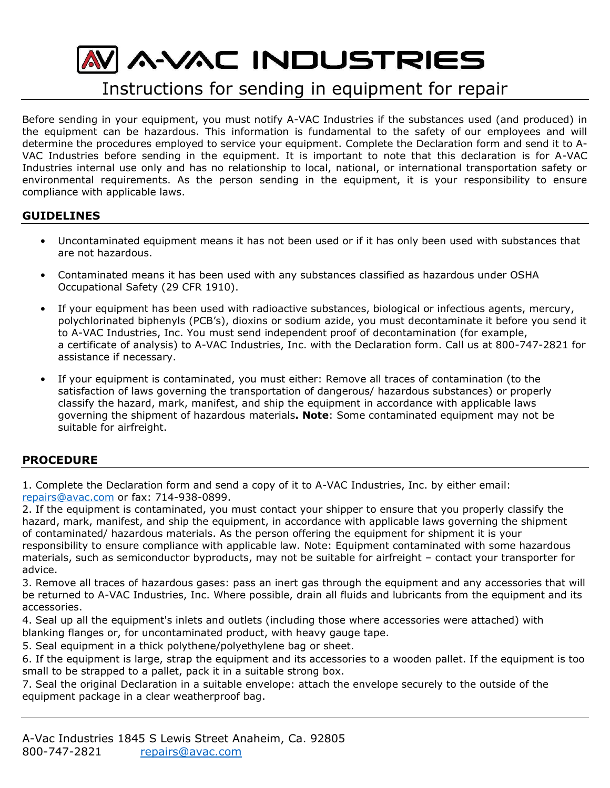# **MAWAC INDUSTRIES**

## Instructions for sending in equipment for repair

Before sending in your equipment, you must notify A-VAC Industries if the substances used (and produced) in the equipment can be hazardous. This information is fundamental to the safety of our employees and will determine the procedures employed to service your equipment. Complete the Declaration form and send it to A-VAC Industries before sending in the equipment. It is important to note that this declaration is for A-VAC Industries internal use only and has no relationship to local, national, or international transportation safety or environmental requirements. As the person sending in the equipment, it is your responsibility to ensure compliance with applicable laws.

#### **GUIDELINES**

- Uncontaminated equipment means it has not been used or if it has only been used with substances that are not hazardous.
- Contaminated means it has been used with any substances classified as hazardous under OSHA Occupational Safety (29 CFR 1910).
- If your equipment has been used with radioactive substances, biological or infectious agents, mercury, polychlorinated biphenyls (PCB's), dioxins or sodium azide, you must decontaminate it before you send it to A-VAC Industries, Inc. You must send independent proof of decontamination (for example, a certificate of analysis) to A-VAC Industries, Inc. with the Declaration form. Call us at 800-747-2821 for assistance if necessary.
- If your equipment is contaminated, you must either: Remove all traces of contamination (to the satisfaction of laws governing the transportation of dangerous/ hazardous substances) or properly classify the hazard, mark, manifest, and ship the equipment in accordance with applicable laws governing the shipment of hazardous materials**. Note**: Some contaminated equipment may not be suitable for airfreight.

#### **PROCEDURE**

1. Complete the Declaration form and send a copy of it to A-VAC Industries, Inc. by either email: [repairs@avac.com](mailto:repairs@avac.com) or fax: 714-938-0899.

2. If the equipment is contaminated, you must contact your shipper to ensure that you properly classify the hazard, mark, manifest, and ship the equipment, in accordance with applicable laws governing the shipment of contaminated/ hazardous materials. As the person offering the equipment for shipment it is your responsibility to ensure compliance with applicable law. Note: Equipment contaminated with some hazardous materials, such as semiconductor byproducts, may not be suitable for airfreight – contact your transporter for advice.

3. Remove all traces of hazardous gases: pass an inert gas through the equipment and any accessories that will be returned to A-VAC Industries, Inc. Where possible, drain all fluids and lubricants from the equipment and its accessories.

4. Seal up all the equipment's inlets and outlets (including those where accessories were attached) with blanking flanges or, for uncontaminated product, with heavy gauge tape.

5. Seal equipment in a thick polythene/polyethylene bag or sheet.

6. If the equipment is large, strap the equipment and its accessories to a wooden pallet. If the equipment is too small to be strapped to a pallet, pack it in a suitable strong box.

7. Seal the original Declaration in a suitable envelope: attach the envelope securely to the outside of the equipment package in a clear weatherproof bag.